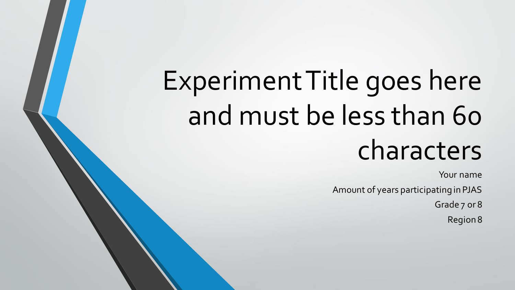# Experiment Title goes here and must be less than 60 characters

Your name

Amount of years participating in PJAS

Grade 7 or 8

Region 8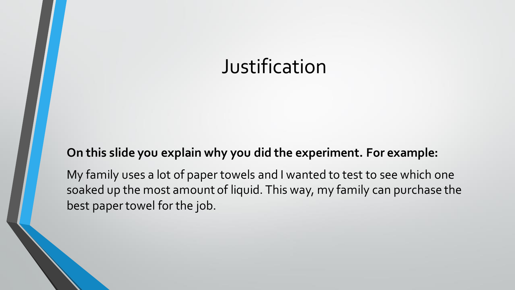#### Justification

#### **On this slide you explain why you did the experiment. For example:**

My family uses a lot of paper towels and I wanted to test to see which one soaked up the most amount of liquid. This way, my family can purchase the best paper towel for the job.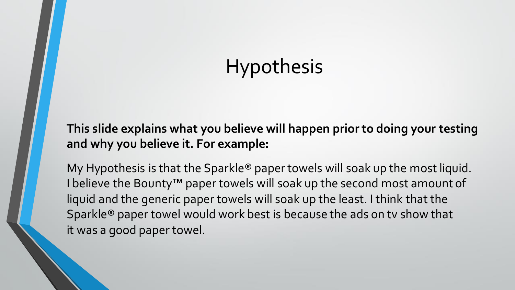## Hypothesis

**This slide explains what you believe will happen prior to doing your testing and why you believe it. For example:**

My Hypothesis is that the Sparkle® paper towels will soak up the most liquid. I believe the Bounty™ paper towels will soak up the second most amount of liquid and the generic paper towels will soak up the least. I think that the Sparkle® paper towel would work best is because the ads on tv show that it was a good paper towel.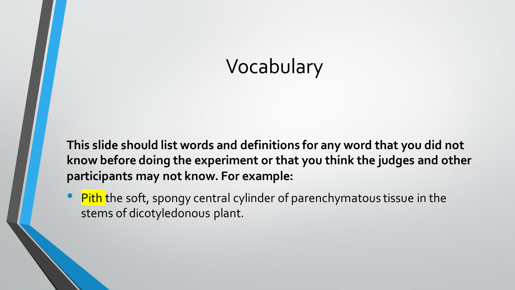## Vocabulary

**This slide should list words and definitions for any word that you did not know before doing the experiment or that you think the judges and other participants may not know. For example:**

**Pith** the soft, spongy central cylinder of parenchymatous tissue in the stems of dicotyledonous plant.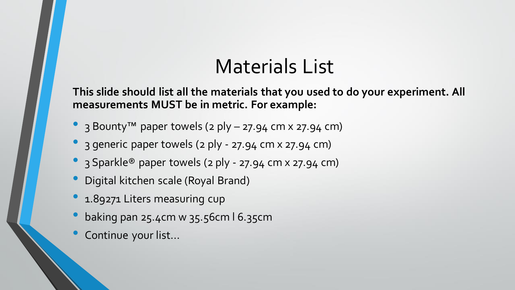#### Materials List

**This slide should list all the materials that you used to do your experiment. All measurements MUST be in metric. For example:**

- 3 Bounty™ paper towels (2 ply 27.94 cm x 27.94 cm)
- 3 generic paper towels (2 ply 27.94 cm x 27.94 cm)
- 3 Sparkle® paper towels (2 ply 27.94 cm x 27.94 cm)
- Digital kitchen scale (Royal Brand)
- 1.89271 Liters measuring cup
- baking pan 25.4cm w 35.56cm l 6.35cm
- Continue your list...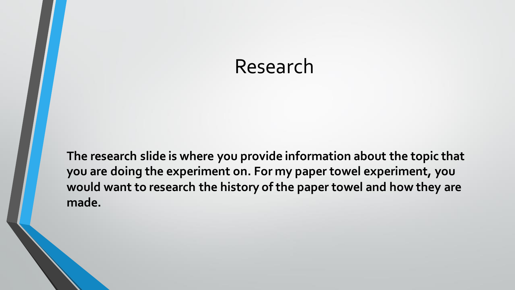#### Research

**The research slide is where you provide information about the topic that you are doing the experiment on. For my paper towel experiment, you would want to research the history of the paper towel and how they are made.**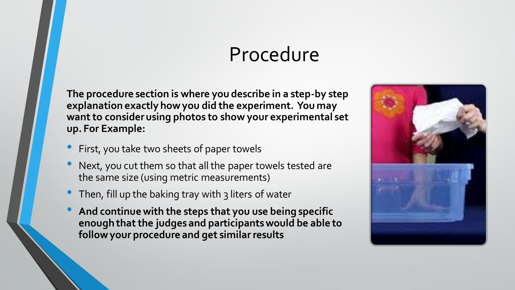#### Procedure

**The procedure section is where you describe in a step-by step explanation exactly how you did the experiment. You may want to consider using photos to show your experimental set up. For Example:**

- First, you take two sheets of paper towels
- Next, you cut them so that all the paper towels tested are the same size (using metric measurements)
- Then, fill up the baking tray with 3 liters of water
- **And continue with the steps that you use being specific enough that the judges and participants would be able to follow your procedure and get similar results**

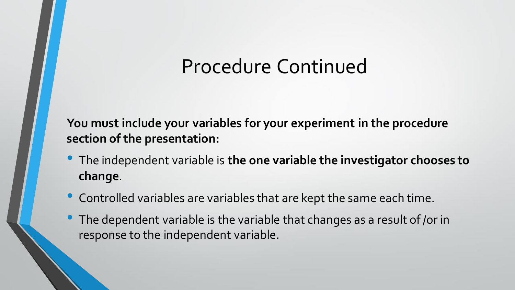### Procedure Continued

**You must include your variables for your experiment in the procedure section of the presentation:**

- The independent variable is **the one variable the investigator chooses to change**.
- Controlled variables are variables that are kept the same each time.
- The dependent variable is the variable that changes as a result of /or in response to the independent variable.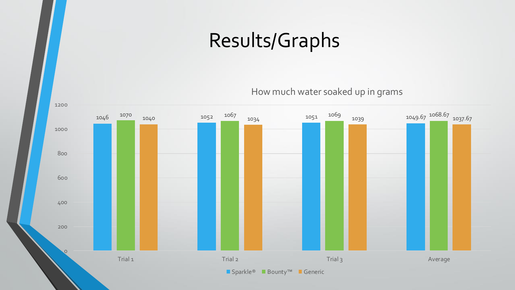## Results/Graphs

How much water soaked up in grams

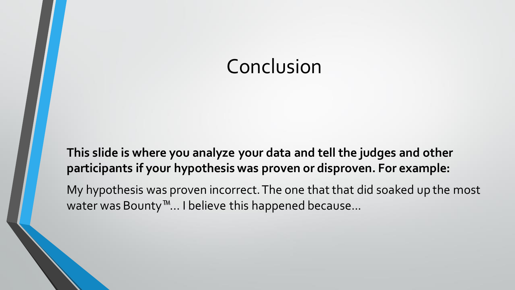#### Conclusion

**This slide is where you analyze your data and tell the judges and other participants if your hypothesis was proven or disproven. For example:**

My hypothesis was proven incorrect. The one that that did soaked up the most water was Bounty<sup>™</sup>... I believe this happened because...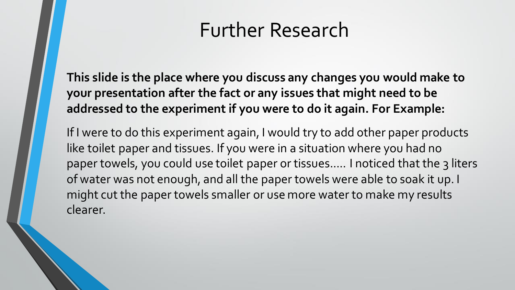#### Further Research

**This slide is the place where you discuss any changes you would make to your presentation after the fact or any issues that might need to be addressed to the experiment if you were to do it again. For Example:**

If I were to do this experiment again, I would try to add other paper products like toilet paper and tissues. If you were in a situation where you had no paper towels, you could use toilet paper or tissues..... I noticed that the 3 liters of water was not enough, and all the paper towels were able to soak it up. I might cut the paper towels smaller or use more water to make my results clearer.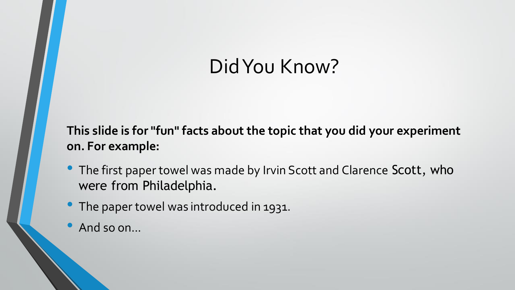## Did You Know?

**This slide is for "fun" facts about the topic that you did your experiment on. For example:**

- The first paper towel was made by Irvin Scott and Clarence Scott, who were from Philadelphia.
- The paper towel was introduced in 1931.
- And so on...